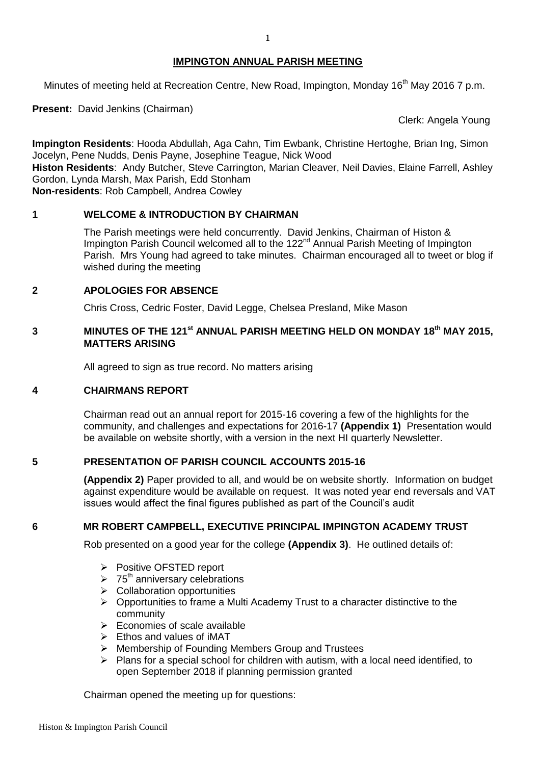#### **IMPINGTON ANNUAL PARISH MEETING**

Minutes of meeting held at Recreation Centre, New Road, Impington, Monday 16<sup>th</sup> May 2016 7 p.m.

**Present:** David Jenkins (Chairman)

Clerk: Angela Young

**Impington Residents**: Hooda Abdullah, Aga Cahn, Tim Ewbank, Christine Hertoghe, Brian Ing, Simon Jocelyn, Pene Nudds, Denis Payne, Josephine Teague, Nick Wood

**Histon Residents**: Andy Butcher, Steve Carrington, Marian Cleaver, Neil Davies, Elaine Farrell, Ashley Gordon, Lynda Marsh, Max Parish, Edd Stonham

**Non-residents**: Rob Campbell, Andrea Cowley

## **1 WELCOME & INTRODUCTION BY CHAIRMAN**

The Parish meetings were held concurrently. David Jenkins, Chairman of Histon & Impington Parish Council welcomed all to the 122<sup>nd</sup> Annual Parish Meeting of Impington Parish. Mrs Young had agreed to take minutes. Chairman encouraged all to tweet or blog if wished during the meeting

## **2 APOLOGIES FOR ABSENCE**

Chris Cross, Cedric Foster, David Legge, Chelsea Presland, Mike Mason

# **3** MINUTES OF THE 121<sup>st</sup> ANNUAL PARISH MEETING HELD ON MONDAY 18<sup>th</sup> MAY 2015, **MATTERS ARISING**

All agreed to sign as true record. No matters arising

#### **4 CHAIRMANS REPORT**

Chairman read out an annual report for 2015-16 covering a few of the highlights for the community, and challenges and expectations for 2016-17 **(Appendix 1)** Presentation would be available on website shortly, with a version in the next HI quarterly Newsletter.

## **5 PRESENTATION OF PARISH COUNCIL ACCOUNTS 2015-16**

**(Appendix 2)** Paper provided to all, and would be on website shortly. Information on budget against expenditure would be available on request. It was noted year end reversals and VAT issues would affect the final figures published as part of the Council's audit

#### **6 MR ROBERT CAMPBELL, EXECUTIVE PRINCIPAL IMPINGTON ACADEMY TRUST**

Rob presented on a good year for the college **(Appendix 3)**.He outlined details of:

- Positive OFSTED report
- $\geq 75^{\text{th}}$  anniversary celebrations
- $\triangleright$  Collaboration opportunities
- $\triangleright$  Opportunities to frame a Multi Academy Trust to a character distinctive to the community
- $\triangleright$  Economies of scale available
- $\triangleright$  Ethos and values of iMAT
- ▶ Membership of Founding Members Group and Trustees
- $\triangleright$  Plans for a special school for children with autism, with a local need identified, to open September 2018 if planning permission granted

Chairman opened the meeting up for questions: